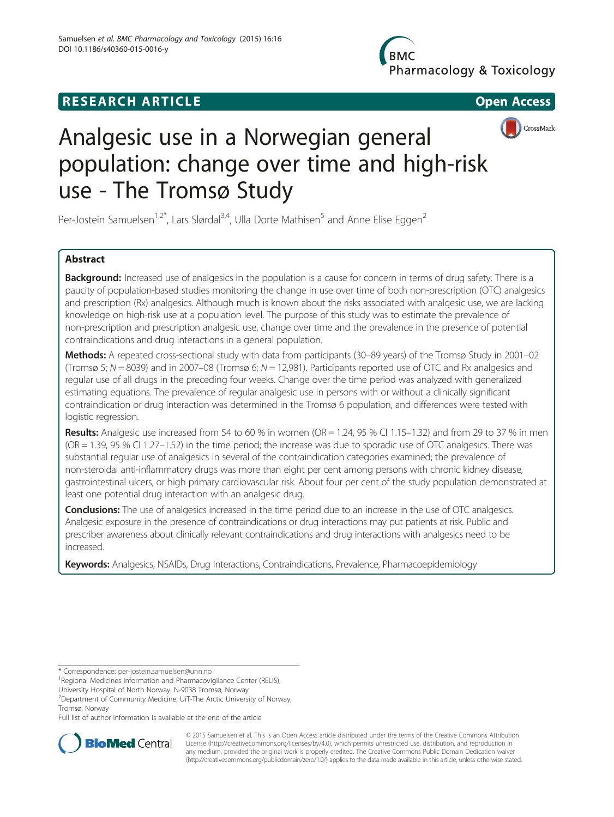# **RESEARCH ARTICLE Example 2008 CONSIDERING CONSIDERING CONSIDERING CONSIDERING CONSIDERING CONSIDERING CONSIDERING CONSIDERING CONSIDERING CONSIDERING CONSIDERING CONSIDERING CONSIDERING CONSIDERING CONSIDERING CONSIDE**

Pharmacology & Toxicology



# Analgesic use in a Norwegian general population: change over time and high-risk use - The Tromsø Study

Per-Jostein Samuelsen<sup>1,2\*</sup>, Lars Slørdal<sup>3,4</sup>, Ulla Dorte Mathisen<sup>5</sup> and Anne Elise Eggen<sup>2</sup>

# Abstract

Background: Increased use of analgesics in the population is a cause for concern in terms of drug safety. There is a paucity of population-based studies monitoring the change in use over time of both non-prescription (OTC) analgesics and prescription (Rx) analgesics. Although much is known about the risks associated with analgesic use, we are lacking knowledge on high-risk use at a population level. The purpose of this study was to estimate the prevalence of non-prescription and prescription analgesic use, change over time and the prevalence in the presence of potential contraindications and drug interactions in a general population.

Methods: A repeated cross-sectional study with data from participants (30–89 years) of the Tromsø Study in 2001–02 (Tromsø 5; N = 8039) and in 2007–08 (Tromsø 6; N = 12,981). Participants reported use of OTC and Rx analgesics and regular use of all drugs in the preceding four weeks. Change over the time period was analyzed with generalized estimating equations. The prevalence of regular analgesic use in persons with or without a clinically significant contraindication or drug interaction was determined in the Tromsø 6 population, and differences were tested with logistic regression.

Results: Analgesic use increased from 54 to 60 % in women ( $OR = 1.24$ ,  $95$  % CI 1.15–1.32) and from 29 to 37 % in men (OR = 1.39, 95 % CI 1.27–1.52) in the time period; the increase was due to sporadic use of OTC analgesics. There was substantial regular use of analgesics in several of the contraindication categories examined; the prevalence of non-steroidal anti-inflammatory drugs was more than eight per cent among persons with chronic kidney disease, gastrointestinal ulcers, or high primary cardiovascular risk. About four per cent of the study population demonstrated at least one potential drug interaction with an analgesic drug.

Conclusions: The use of analgesics increased in the time period due to an increase in the use of OTC analgesics. Analgesic exposure in the presence of contraindications or drug interactions may put patients at risk. Public and prescriber awareness about clinically relevant contraindications and drug interactions with analgesics need to be increased.

Keywords: Analgesics, NSAIDs, Drug interactions, Contraindications, Prevalence, Pharmacoepidemiology

\* Correspondence: [per-jostein.samuelsen@unn.no](mailto:per-jostein.samuelsen@unn.no) <sup>1</sup>

<sup>1</sup> Regional Medicines Information and Pharmacovigilance Center (RELIS),

University Hospital of North Norway, N-9038 Tromsø, Norway

<sup>2</sup> Department of Community Medicine, UiT-The Arctic University of Norway, Tromsø, Norway

Full list of author information is available at the end of the article



© 2015 Samuelsen et al. This is an Open Access article distributed under the terms of the Creative Commons Attribution License (<http://creativecommons.org/licenses/by/4.0>), which permits unrestricted use, distribution, and reproduction in any medium, provided the original work is properly credited. The Creative Commons Public Domain Dedication waiver [\(http://creativecommons.org/publicdomain/zero/1.0/](http://creativecommons.org/publicdomain/zero/1.0/)) applies to the data made available in this article, unless otherwise stated.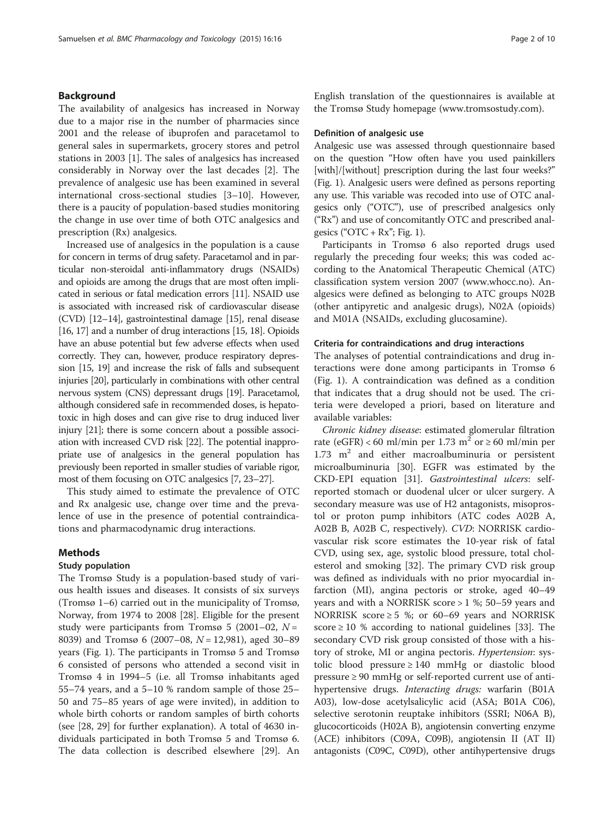# Background

The availability of analgesics has increased in Norway due to a major rise in the number of pharmacies since 2001 and the release of ibuprofen and paracetamol to general sales in supermarkets, grocery stores and petrol stations in 2003 [[1](#page-8-0)]. The sales of analgesics has increased considerably in Norway over the last decades [[2](#page-8-0)]. The prevalence of analgesic use has been examined in several international cross-sectional studies [\[3](#page-8-0)–[10\]](#page-8-0). However, there is a paucity of population-based studies monitoring the change in use over time of both OTC analgesics and prescription (Rx) analgesics.

Increased use of analgesics in the population is a cause for concern in terms of drug safety. Paracetamol and in particular non-steroidal anti-inflammatory drugs (NSAIDs) and opioids are among the drugs that are most often implicated in serious or fatal medication errors [\[11](#page-8-0)]. NSAID use is associated with increased risk of cardiovascular disease (CVD) [\[12](#page-8-0)–[14](#page-8-0)], gastrointestinal damage [\[15\]](#page-8-0), renal disease [[16](#page-8-0), [17](#page-8-0)] and a number of drug interactions [[15, 18\]](#page-8-0). Opioids have an abuse potential but few adverse effects when used correctly. They can, however, produce respiratory depression [\[15, 19\]](#page-8-0) and increase the risk of falls and subsequent injuries [\[20](#page-8-0)], particularly in combinations with other central nervous system (CNS) depressant drugs [\[19\]](#page-8-0). Paracetamol, although considered safe in recommended doses, is hepatotoxic in high doses and can give rise to drug induced liver injury [\[21](#page-8-0)]; there is some concern about a possible association with increased CVD risk [\[22\]](#page-8-0). The potential inappropriate use of analgesics in the general population has previously been reported in smaller studies of variable rigor, most of them focusing on OTC analgesics [\[7, 23](#page-8-0)–[27\]](#page-9-0).

This study aimed to estimate the prevalence of OTC and Rx analgesic use, change over time and the prevalence of use in the presence of potential contraindications and pharmacodynamic drug interactions.

# Methods

# Study population

The Tromsø Study is a population-based study of various health issues and diseases. It consists of six surveys (Tromsø 1–6) carried out in the municipality of Tromsø, Norway, from 1974 to 2008 [[28\]](#page-9-0). Eligible for the present study were participants from Tromsø 5 (2001–02,  $N =$ 8039) and Tromsø 6 (2007–08,  $N = 12,981$ ), aged 30–89 years (Fig. [1](#page-2-0)). The participants in Tromsø 5 and Tromsø 6 consisted of persons who attended a second visit in Tromsø 4 in 1994–5 (i.e. all Tromsø inhabitants aged 55–74 years, and a 5–10 % random sample of those 25– 50 and 75–85 years of age were invited), in addition to whole birth cohorts or random samples of birth cohorts (see [[28, 29\]](#page-9-0) for further explanation). A total of 4630 individuals participated in both Tromsø 5 and Tromsø 6. The data collection is described elsewhere [[29](#page-9-0)]. An English translation of the questionnaires is available at the Tromsø Study homepage [\(www.tromsostudy.com\)](http://www.tromsostudy.com).

# Definition of analgesic use

Analgesic use was assessed through questionnaire based on the question "How often have you used painkillers [with]/[without] prescription during the last four weeks?" (Fig. [1\)](#page-2-0). Analgesic users were defined as persons reporting any use. This variable was recoded into use of OTC analgesics only ("OTC"), use of prescribed analgesics only ("Rx") and use of concomitantly OTC and prescribed analgesics (" $\text{OTC} + \text{Rx}$ "; Fig. [1](#page-2-0)).

Participants in Tromsø 6 also reported drugs used regularly the preceding four weeks; this was coded according to the Anatomical Therapeutic Chemical (ATC) classification system version 2007 ([www.whocc.no](http://www.whocc.no)). Analgesics were defined as belonging to ATC groups N02B (other antipyretic and analgesic drugs), N02A (opioids) and M01A (NSAIDs, excluding glucosamine).

# Criteria for contraindications and drug interactions

The analyses of potential contraindications and drug interactions were done among participants in Tromsø 6 (Fig. [1\)](#page-2-0). A contraindication was defined as a condition that indicates that a drug should not be used. The criteria were developed a priori, based on literature and available variables:

Chronic kidney disease: estimated glomerular filtration rate (eGFR) < 60 ml/min per 1.73 m<sup>2</sup> or  $\geq$  60 ml/min per  $1.73$  m<sup>2</sup> and either macroalbuminuria or persistent microalbuminuria [\[30](#page-9-0)]. EGFR was estimated by the CKD-EPI equation [\[31\]](#page-9-0). Gastrointestinal ulcers: selfreported stomach or duodenal ulcer or ulcer surgery. A secondary measure was use of H2 antagonists, misoprostol or proton pump inhibitors (ATC codes A02B A, A02B B, A02B C, respectively). CVD: NORRISK cardiovascular risk score estimates the 10-year risk of fatal CVD, using sex, age, systolic blood pressure, total cholesterol and smoking [\[32](#page-9-0)]. The primary CVD risk group was defined as individuals with no prior myocardial infarction (MI), angina pectoris or stroke, aged 40–49 years and with a NORRISK score > 1 %; 50–59 years and NORRISK score  $\geq$  5 %; or 60–69 years and NORRISK score  $\geq 10$  % according to national guidelines [[33\]](#page-9-0). The secondary CVD risk group consisted of those with a history of stroke, MI or angina pectoris. Hypertension: systolic blood pressure ≥ 140 mmHg or diastolic blood pressure ≥ 90 mmHg or self-reported current use of antihypertensive drugs. Interacting drugs: warfarin (B01A A03), low-dose acetylsalicylic acid (ASA; B01A C06), selective serotonin reuptake inhibitors (SSRI; N06A B), glucocorticoids (H02A B), angiotensin converting enzyme (ACE) inhibitors (C09A, C09B), angiotensin II (AT II) antagonists (C09C, C09D), other antihypertensive drugs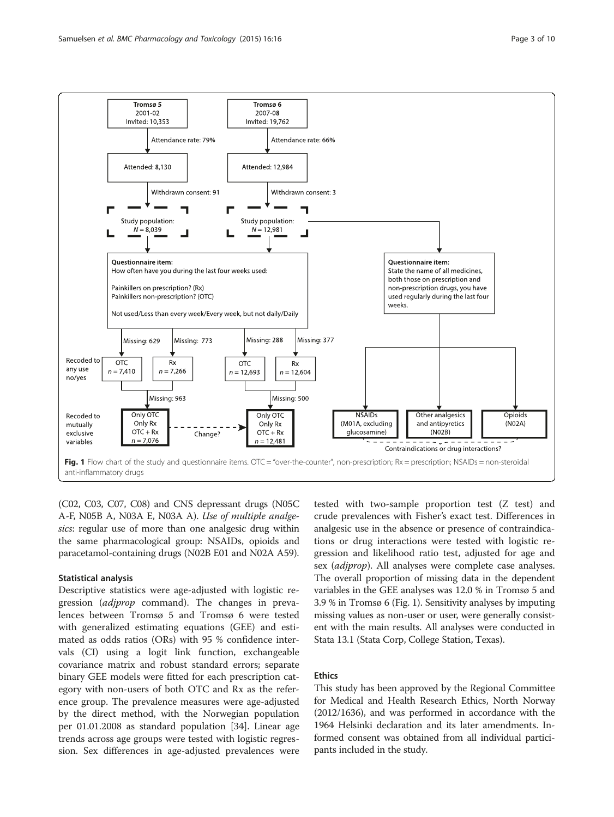<span id="page-2-0"></span>

(C02, C03, C07, C08) and CNS depressant drugs (N05C A-F, N05B A, N03A E, N03A A). Use of multiple analgesics: regular use of more than one analgesic drug within the same pharmacological group: NSAIDs, opioids and paracetamol-containing drugs (N02B E01 and N02A A59).

# Statistical analysis

Descriptive statistics were age-adjusted with logistic regression (adjprop command). The changes in prevalences between Tromsø 5 and Tromsø 6 were tested with generalized estimating equations (GEE) and estimated as odds ratios (ORs) with 95 % confidence intervals (CI) using a logit link function, exchangeable covariance matrix and robust standard errors; separate binary GEE models were fitted for each prescription category with non-users of both OTC and Rx as the reference group. The prevalence measures were age-adjusted by the direct method, with the Norwegian population per 01.01.2008 as standard population [[34\]](#page-9-0). Linear age trends across age groups were tested with logistic regression. Sex differences in age-adjusted prevalences were

tested with two-sample proportion test (Z test) and crude prevalences with Fisher's exact test. Differences in analgesic use in the absence or presence of contraindications or drug interactions were tested with logistic regression and likelihood ratio test, adjusted for age and sex (*adjprop*). All analyses were complete case analyses. The overall proportion of missing data in the dependent variables in the GEE analyses was 12.0 % in Tromsø 5 and 3.9 % in Tromsø 6 (Fig. 1). Sensitivity analyses by imputing missing values as non-user or user, were generally consistent with the main results. All analyses were conducted in Stata 13.1 (Stata Corp, College Station, Texas).

# Ethics

This study has been approved by the Regional Committee for Medical and Health Research Ethics, North Norway (2012/1636), and was performed in accordance with the 1964 Helsinki declaration and its later amendments. Informed consent was obtained from all individual participants included in the study.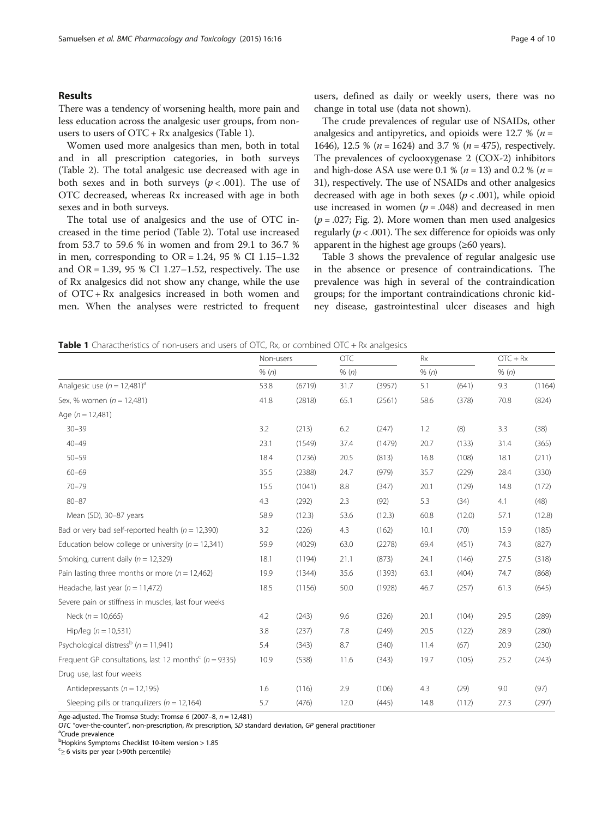# Results

There was a tendency of worsening health, more pain and less education across the analgesic user groups, from nonusers to users of  $\text{OTC} + \text{Rx}$  analgesics (Table 1).

Women used more analgesics than men, both in total and in all prescription categories, in both surveys (Table [2\)](#page-4-0). The total analgesic use decreased with age in both sexes and in both surveys ( $p < .001$ ). The use of OTC decreased, whereas Rx increased with age in both sexes and in both surveys.

The total use of analgesics and the use of OTC increased in the time period (Table [2\)](#page-4-0). Total use increased from 53.7 to 59.6 % in women and from 29.1 to 36.7 % in men, corresponding to  $OR = 1.24$ , 95 % CI 1.15–1.32 and OR = 1.39, 95 % CI 1.27–1.52, respectively. The use of Rx analgesics did not show any change, while the use of OTC + Rx analgesics increased in both women and men. When the analyses were restricted to frequent users, defined as daily or weekly users, there was no change in total use (data not shown).

The crude prevalences of regular use of NSAIDs, other analgesics and antipyretics, and opioids were 12.7 % ( $n =$ 1646), 12.5 % ( $n = 1624$ ) and 3.7 % ( $n = 475$ ), respectively. The prevalences of cyclooxygenase 2 (COX-2) inhibitors and high-dose ASA use were 0.1 % ( $n = 13$ ) and 0.2 % ( $n =$ 31), respectively. The use of NSAIDs and other analgesics decreased with age in both sexes ( $p < .001$ ), while opioid use increased in women  $(p = .048)$  and decreased in men  $(p=.027;$  Fig. [2\)](#page-5-0). More women than men used analgesics regularly ( $p < .001$ ). The sex difference for opioids was only apparent in the highest age groups  $(\geq 60 \text{ years})$ .

Table [3](#page-5-0) shows the prevalence of regular analgesic use in the absence or presence of contraindications. The prevalence was high in several of the contraindication groups; for the important contraindications chronic kidney disease, gastrointestinal ulcer diseases and high

| <b>Table 1</b> Charactheristics of non-users and users of OTC, Rx, or combined OTC + Rx analgesics |  |
|----------------------------------------------------------------------------------------------------|--|
|----------------------------------------------------------------------------------------------------|--|

|                                                                       | Non-users |        | <b>OTC</b> |        | Rx    |        | $OTC + Rx$ |        |
|-----------------------------------------------------------------------|-----------|--------|------------|--------|-------|--------|------------|--------|
|                                                                       | % (n)     |        | % (n)      |        | % (n) |        | % (n)      |        |
| Analgesic use $(n = 12,481)^a$                                        | 53.8      | (6719) | 31.7       | (3957) | 5.1   | (641)  | 9.3        | (1164) |
| Sex, % women $(n = 12,481)$                                           | 41.8      | (2818) | 65.1       | (2561) | 58.6  | (378)  | 70.8       | (824)  |
| Age $(n = 12,481)$                                                    |           |        |            |        |       |        |            |        |
| $30 - 39$                                                             | 3.2       | (213)  | 6.2        | (247)  | 1.2   | (8)    | 3.3        | (38)   |
| $40 - 49$                                                             | 23.1      | (1549) | 37.4       | (1479) | 20.7  | (133)  | 31.4       | (365)  |
| $50 - 59$                                                             | 18.4      | (1236) | 20.5       | (813)  | 16.8  | (108)  | 18.1       | (211)  |
| $60 - 69$                                                             | 35.5      | (2388) | 24.7       | (979)  | 35.7  | (229)  | 28.4       | (330)  |
| $70 - 79$                                                             | 15.5      | (1041) | $8.8\,$    | (347)  | 20.1  | (129)  | 14.8       | (172)  |
| $80 - 87$                                                             | 4.3       | (292)  | 2.3        | (92)   | 5.3   | (34)   | 4.1        | (48)   |
| Mean (SD), 30-87 years                                                | 58.9      | (12.3) | 53.6       | (12.3) | 60.8  | (12.0) | 57.1       | (12.8) |
| Bad or very bad self-reported health ( $n = 12,390$ )                 | 3.2       | (226)  | 4.3        | (162)  | 10.1  | (70)   | 15.9       | (185)  |
| Education below college or university ( $n = 12,341$ )                | 59.9      | (4029) | 63.0       | (2278) | 69.4  | (451)  | 74.3       | (827)  |
| Smoking, current daily ( $n = 12,329$ )                               | 18.1      | (1194) | 21.1       | (873)  | 24.1  | (146)  | 27.5       | (318)  |
| Pain lasting three months or more ( $n = 12,462$ )                    | 19.9      | (1344) | 35.6       | (1393) | 63.1  | (404)  | 74.7       | (868)  |
| Headache, last year ( $n = 11,472$ )                                  | 18.5      | (1156) | 50.0       | (1928) | 46.7  | (257)  | 61.3       | (645)  |
| Severe pain or stiffness in muscles, last four weeks                  |           |        |            |        |       |        |            |        |
| Neck ( $n = 10,665$ )                                                 | 4.2       | (243)  | 9.6        | (326)  | 20.1  | (104)  | 29.5       | (289)  |
| Hip/leg ( $n = 10,531$ )                                              | 3.8       | (237)  | 7.8        | (249)  | 20.5  | (122)  | 28.9       | (280)  |
| Psychological distress <sup>b</sup> ( $n = 11,941$ )                  | 5.4       | (343)  | 8.7        | (340)  | 11.4  | (67)   | 20.9       | (230)  |
| Frequent GP consultations, last 12 months <sup>c</sup> ( $n = 9335$ ) | 10.9      | (538)  | 11.6       | (343)  | 19.7  | (105)  | 25.2       | (243)  |
| Drug use, last four weeks                                             |           |        |            |        |       |        |            |        |
| Antidepressants ( $n = 12,195$ )                                      | 1.6       | (116)  | 2.9        | (106)  | 4.3   | (29)   | 9.0        | (97)   |
| Sleeping pills or tranguilizers ( $n = 12,164$ )                      | 5.7       | (476)  | 12.0       | (445)  | 14.8  | (112)  | 27.3       | (297)  |

Age-adjusted. The Tromsø Study: Tromsø 6 (2007–8,  $n = 12,481$ )

OTC "over-the-counter", non-prescription, Rx prescription, SD standard deviation, GP general practitioner

<sup>a</sup>Crude prevalence

<sup>b</sup>Hopkins Symptoms Checklist 10-item version > 1.85

c ≥ 6 visits per year (>90th percentile)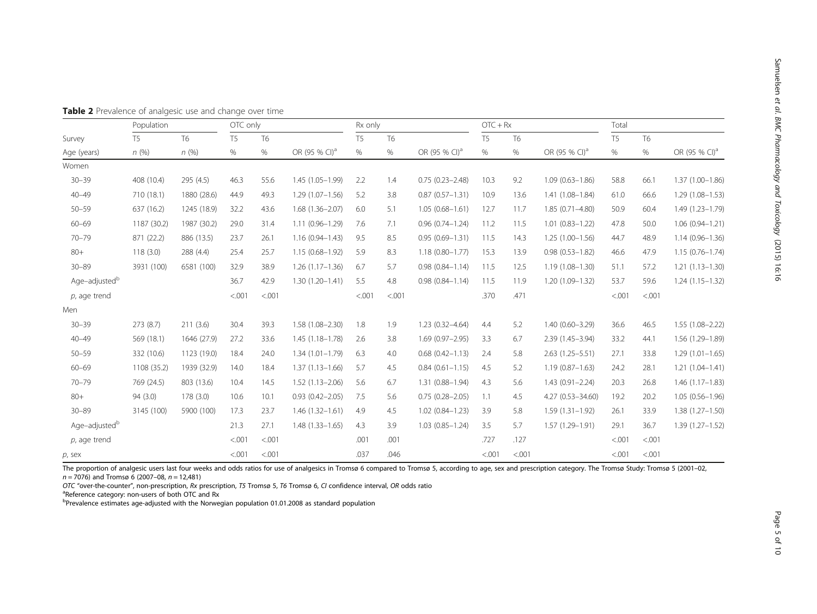Samuelsen

et al. BMC

Pharmacology

and Toxicology

(2015) 16:16

| Population                |                | OTC only       |                |           | Rx only                   |                |                | $OTC + Rx$                |                |           | Total                     |                |                |                           |
|---------------------------|----------------|----------------|----------------|-----------|---------------------------|----------------|----------------|---------------------------|----------------|-----------|---------------------------|----------------|----------------|---------------------------|
| Survey                    | T <sub>5</sub> | T <sub>6</sub> | T <sub>5</sub> | <b>T6</b> |                           | T <sub>5</sub> | T <sub>6</sub> |                           | T <sub>5</sub> | <b>T6</b> |                           | T <sub>5</sub> | T <sub>6</sub> |                           |
| Age (years)               | n(%)           | n(%)           | $\%$           | %         | OR (95 % CI) <sup>a</sup> | $\%$           | %              | OR (95 % CI) <sup>a</sup> | $\%$           | $\%$      | OR (95 % CI) <sup>a</sup> | $\%$           | $\%$           | OR (95 % CI) <sup>a</sup> |
| Women                     |                |                |                |           |                           |                |                |                           |                |           |                           |                |                |                           |
| $30 - 39$                 | 408 (10.4)     | 295 (4.5)      | 46.3           | 55.6      | $1.45(1.05-1.99)$         | 2.2            | 1.4            | $0.75(0.23 - 2.48)$       | 10.3           | 9.2       | $1.09(0.63 - 1.86)$       | 58.8           | 66.1           | 1.37 (1.00-1.86)          |
| $40 - 49$                 | 710 (18.1)     | 1880 (28.6)    | 44.9           | 49.3      | $1.29(1.07 - 1.56)$       | 5.2            | 3.8            | $0.87(0.57 - 1.31)$       | 10.9           | 13.6      | $1.41(1.08 - 1.84)$       | 61.0           | 66.6           | $1.29(1.08 - 1.53)$       |
| $50 - 59$                 | 637 (16.2)     | 1245 (18.9)    | 32.2           | 43.6      | $1.68(1.36 - 2.07)$       | 6.0            | 5.1            | $1.05(0.68 - 1.61)$       | 12.7           | 11.7      | $1.85(0.71 - 4.80)$       | 50.9           | 60.4           | 1.49 (1.23-1.79)          |
| $60 - 69$                 | 1187 (30.2)    | 1987 (30.2)    | 29.0           | 31.4      | $1.11(0.96 - 1.29)$       | 7.6            | 7.1            | $0.96(0.74 - 1.24)$       | 11.2           | 11.5      | $1.01(0.83 - 1.22)$       | 47.8           | 50.0           | $1.06(0.94 - 1.21)$       |
| $70 - 79$                 | 871 (22.2)     | 886 (13.5)     | 23.7           | 26.1      | $1.16(0.94 - 1.43)$       | 9.5            | 8.5            | $0.95(0.69 - 1.31)$       | 11.5           | 14.3      | $1.25(1.00-1.56)$         | 44.7           | 48.9           | $1.14(0.96 - 1.36)$       |
| $80 +$                    | 118(3.0)       | 288 (4.4)      | 25.4           | 25.7      | $1.15(0.68 - 1.92)$       | 5.9            | 8.3            | $1.18(0.80 - 1.77)$       | 15.3           | 13.9      | $0.98(0.53 - 1.82)$       | 46.6           | 47.9           | $1.15(0.76 - 1.74)$       |
| $30 - 89$                 | 3931 (100)     | 6581 (100)     | 32.9           | 38.9      | $1.26(1.17-1.36)$         | 6.7            | 5.7            | $0.98(0.84 - 1.14)$       | 11.5           | 12.5      | $1.19(1.08 - 1.30)$       | 51.1           | 57.2           | $1.21(1.13 - 1.30)$       |
| Age-adjusted <sup>b</sup> |                |                | 36.7           | 42.9      | $1.30(1.20 - 1.41)$       | 5.5            | 4.8            | $0.98(0.84 - 1.14)$       | 11.5           | 11.9      | $1.20(1.09 - 1.32)$       | 53.7           | 59.6           | $1.24(1.15 - 1.32)$       |
| $p$ , age trend           |                |                | < .001         | < .001    |                           | < .001         | < .001         |                           | .370           | .471      |                           | < .001         | < .001         |                           |
| Men                       |                |                |                |           |                           |                |                |                           |                |           |                           |                |                |                           |
| $30 - 39$                 | 273 (8.7)      | 211(3.6)       | 30.4           | 39.3      | 1.58 (1.08-2.30)          | 1.8            | 1.9            | $1.23(0.32 - 4.64)$       | 4.4            | 5.2       | $1.40(0.60 - 3.29)$       | 36.6           | 46.5           | $1.55(1.08 - 2.22)$       |
| $40 - 49$                 | 569 (18.1)     | 1646 (27.9)    | 27.2           | 33.6      | $1.45(1.18 - 1.78)$       | 2.6            | 3.8            | 1.69 (0.97-2.95)          | 3.3            | 6.7       | 2.39 (1.45-3.94)          | 33.2           | 44.1           | 1.56 (1.29-1.89)          |
| $50 - 59$                 | 332 (10.6)     | 1123 (19.0)    | 18.4           | 24.0      | $1.34(1.01 - 1.79)$       | 6.3            | 4.0            | $0.68(0.42 - 1.13)$       | 2.4            | 5.8       | $2.63(1.25 - 5.51)$       | 27.1           | 33.8           | $1.29(1.01 - 1.65)$       |
| $60 - 69$                 | 1108 (35.2)    | 1939 (32.9)    | 14.0           | 18.4      | $1.37(1.13 - 1.66)$       | 5.7            | 4.5            | $0.84(0.61 - 1.15)$       | 4.5            | 5.2       | $1.19(0.87 - 1.63)$       | 24.2           | 28.1           | $1.21(1.04 - 1.41)$       |
| $70 - 79$                 | 769 (24.5)     | 803 (13.6)     | 10.4           | 14.5      | $1.52(1.13 - 2.06)$       | 5.6            | 6.7            | $1.31(0.88 - 1.94)$       | 4.3            | 5.6       | $1.43(0.91 - 2.24)$       | 20.3           | 26.8           | $1.46(1.17-1.83)$         |
| $80+$                     | 94 (3.0)       | 178(3.0)       | 10.6           | 10.1      | $0.93(0.42 - 2.05)$       | 7.5            | 5.6            | $0.75(0.28 - 2.05)$       | 1.1            | 4.5       | 4.27 (0.53-34.60)         | 19.2           | 20.2           | $1.05(0.56 - 1.96)$       |
| $30 - 89$                 | 3145 (100)     | 5900 (100)     | 17.3           | 23.7      | $1.46(1.32 - 1.61)$       | 4.9            | 4.5            | 1.02 (0.84-1.23)          | 3.9            | 5.8       | $1.59(1.31 - 1.92)$       | 26.1           | 33.9           | 1.38 (1.27-1.50)          |
| Age-adjusted <sup>b</sup> |                |                | 21.3           | 27.1      | $1.48(1.33 - 1.65)$       | 4.3            | 3.9            | $1.03(0.85 - 1.24)$       | 3.5            | 5.7       | $1.57(1.29 - 1.91)$       | 29.1           | 36.7           | 1.39 (1.27-1.52)          |
| $p$ , age trend           |                |                | < .001         | < .001    |                           | .001           | .001           |                           | .727           | .127      |                           | < .001         | < .001         |                           |
| p, sex                    |                |                | < .001         | < .001    |                           | .037           | .046           |                           | < 0.001        | < .001    |                           | < .001         | < .001         |                           |

<span id="page-4-0"></span>Table 2 Prevalence of analgesic use and change over time

The proportion of analgesic users last four weeks and odds ratios for use of analgesics in Tromsø 6 compared to Tromsø 5, according to age, sex and prescription category. The Tromsø Study: Tromsø 5 (2001–02,  $n = 7076$ ) and Tromsø 6 (2007–08,  $n = 12,481$ )

OTC "over-the-counter", non-prescription, Rx prescription, T5 Tromsø 5, T6 Tromsø 6, CI confidence interval, OR odds ratio <sup>a</sup>

**Reference category:** non-users of both OTC and Rx

<sup>b</sup>Prevalence estimates age-adjusted with the Norwegian population 01.01.2008 as standard population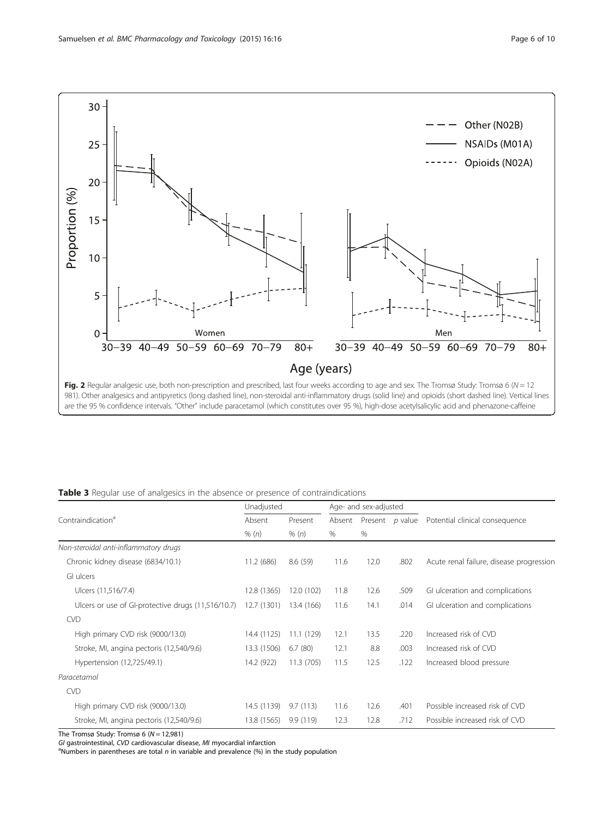<span id="page-5-0"></span>

|                                                    | Unadjusted  |            |        | Age- and sex-adjusted |         |                                          |  |  |
|----------------------------------------------------|-------------|------------|--------|-----------------------|---------|------------------------------------------|--|--|
| Contraindication <sup>a</sup>                      | Absent      | Present    | Absent | Present               | p value | Potential clinical consequence           |  |  |
|                                                    | % (n)       | % (n)      | $\%$   | $\%$                  |         |                                          |  |  |
| Non-steroidal anti-inflammatory drugs              |             |            |        |                       |         |                                          |  |  |
| Chronic kidney disease (6834/10.1)                 | 11.2 (686)  | 8.6(59)    | 11.6   | 12.0                  | .802    | Acute renal failure, disease progression |  |  |
| GI ulcers                                          |             |            |        |                       |         |                                          |  |  |
| Ulcers (11,516/7.4)                                | 12.8 (1365) | 12.0 (102) | 11.8   | 12.6                  | .509    | GI ulceration and complications          |  |  |
| Ulcers or use of GI-protective drugs (11,516/10.7) | 12.7 (1301) | 13.4 (166) | 11.6   | 14.1                  | .014    | GI ulceration and complications          |  |  |
| <b>CVD</b>                                         |             |            |        |                       |         |                                          |  |  |
| High primary CVD risk (9000/13.0)                  | 14.4 (1125) | 11.1 (129) | 12.1   | 13.5                  | .220    | Increased risk of CVD                    |  |  |
| Stroke, MI, angina pectoris (12,540/9.6)           | 13.3 (1506) | 6.7(80)    | 12.1   | 8.8                   | .003    | Increased risk of CVD                    |  |  |
| Hypertension (12,725/49.1)                         | 14.2 (922)  | 11.3 (705) | 11.5   | 12.5                  | .122    | Increased blood pressure                 |  |  |
| Paracetamol                                        |             |            |        |                       |         |                                          |  |  |
| <b>CVD</b>                                         |             |            |        |                       |         |                                          |  |  |
| High primary CVD risk (9000/13.0)                  | 14.5 (1139) | 9.7(113)   | 11.6   | 12.6                  | .401    | Possible increased risk of CVD           |  |  |
| Stroke, MI, angina pectoris (12,540/9.6)           | 13.8 (1565) | 9.9(119)   | 12.3   | 12.8                  | .712    | Possible increased risk of CVD           |  |  |

The Tromsø Study: Tromsø 6 ( $N = 12,981$ )

GI gastrointestinal, CVD cardiovascular disease, MI myocardial infarction

<sup>a</sup>Numbers in parentheses are total n in variable and prevalence (%) in the study population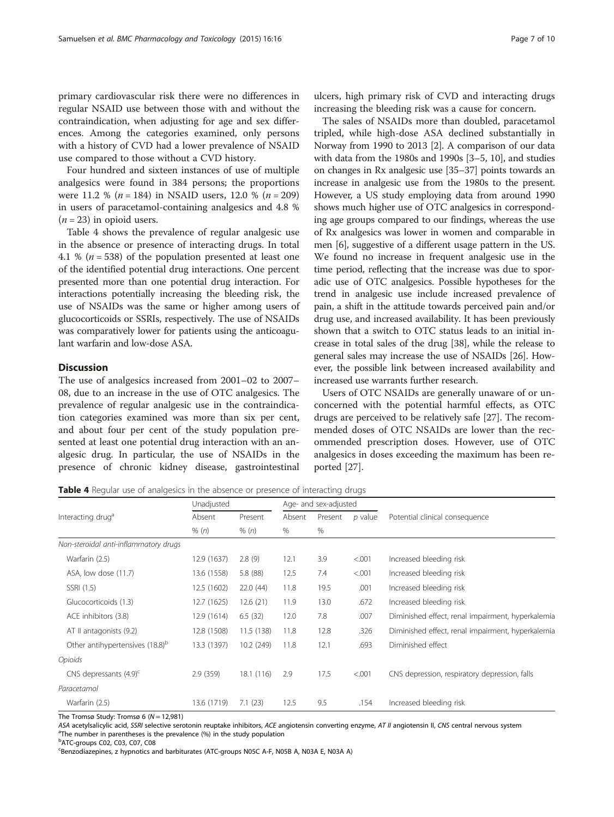primary cardiovascular risk there were no differences in regular NSAID use between those with and without the contraindication, when adjusting for age and sex differences. Among the categories examined, only persons with a history of CVD had a lower prevalence of NSAID use compared to those without a CVD history.

Four hundred and sixteen instances of use of multiple analgesics were found in 384 persons; the proportions were 11.2 % ( $n = 184$ ) in NSAID users, 12.0 % ( $n = 209$ ) in users of paracetamol-containing analgesics and 4.8 %  $(n = 23)$  in opioid users.

Table 4 shows the prevalence of regular analgesic use in the absence or presence of interacting drugs. In total 4.1 % ( $n = 538$ ) of the population presented at least one of the identified potential drug interactions. One percent presented more than one potential drug interaction. For interactions potentially increasing the bleeding risk, the use of NSAIDs was the same or higher among users of glucocorticoids or SSRIs, respectively. The use of NSAIDs was comparatively lower for patients using the anticoagulant warfarin and low-dose ASA.

# Discussion

The use of analgesics increased from 2001–02 to 2007– 08, due to an increase in the use of OTC analgesics. The prevalence of regular analgesic use in the contraindication categories examined was more than six per cent, and about four per cent of the study population presented at least one potential drug interaction with an analgesic drug. In particular, the use of NSAIDs in the presence of chronic kidney disease, gastrointestinal

ulcers, high primary risk of CVD and interacting drugs increasing the bleeding risk was a cause for concern.

The sales of NSAIDs more than doubled, paracetamol tripled, while high-dose ASA declined substantially in Norway from 1990 to 2013 [[2\]](#page-8-0). A comparison of our data with data from the 1980s and 1990s [\[3](#page-8-0)–[5, 10](#page-8-0)], and studies on changes in Rx analgesic use [\[35](#page-9-0)–[37](#page-9-0)] points towards an increase in analgesic use from the 1980s to the present. However, a US study employing data from around 1990 shows much higher use of OTC analgesics in corresponding age groups compared to our findings, whereas the use of Rx analgesics was lower in women and comparable in men [[6](#page-8-0)], suggestive of a different usage pattern in the US. We found no increase in frequent analgesic use in the time period, reflecting that the increase was due to sporadic use of OTC analgesics. Possible hypotheses for the trend in analgesic use include increased prevalence of pain, a shift in the attitude towards perceived pain and/or drug use, and increased availability. It has been previously shown that a switch to OTC status leads to an initial increase in total sales of the drug [[38](#page-9-0)], while the release to general sales may increase the use of NSAIDs [[26](#page-8-0)]. However, the possible link between increased availability and increased use warrants further research.

Users of OTC NSAIDs are generally unaware of or unconcerned with the potential harmful effects, as OTC drugs are perceived to be relatively safe [\[27\]](#page-9-0). The recommended doses of OTC NSAIDs are lower than the recommended prescription doses. However, use of OTC analgesics in doses exceeding the maximum has been reported [[27](#page-9-0)].

**Table 4** Regular use of analgesics in the absence or presence of interacting drugs

|                                             | Unadjusted  |            |        | Age- and sex-adjusted |         |                                                   |  |  |  |
|---------------------------------------------|-------------|------------|--------|-----------------------|---------|---------------------------------------------------|--|--|--|
| Interacting drug <sup>a</sup>               | Absent      | Present    | Absent | Present               | p value | Potential clinical consequence                    |  |  |  |
|                                             | % (n)       | % (n)      | %      | %                     |         |                                                   |  |  |  |
| Non-steroidal anti-inflammatory drugs       |             |            |        |                       |         |                                                   |  |  |  |
| Warfarin (2.5)                              | 12.9 (1637) | 2.8(9)     | 12.1   | 3.9                   | < 0.001 | Increased bleeding risk                           |  |  |  |
| ASA, low dose (11.7)                        | 13.6 (1558) | 5.8 (88)   | 12.5   | 7.4                   | < .001  | Increased bleeding risk                           |  |  |  |
| SSRI (1.5)                                  | 12.5 (1602) | 22.0(44)   | 11.8   | 19.5                  | .001    | Increased bleeding risk                           |  |  |  |
| Glucocorticoids (1.3)                       | 12.7 (1625) | 12.6(21)   | 11.9   | 13.0                  | .672    | Increased bleeding risk                           |  |  |  |
| ACE inhibitors (3.8)                        | 12.9 (1614) | 6.5(32)    | 12.0   | 7.8                   | .007    | Diminished effect, renal impairment, hyperkalemia |  |  |  |
| AT II antagonists (9.2)                     | 12.8 (1508) | 11.5(138)  | 11.8   | 12.8                  | .326    | Diminished effect, renal impairment, hyperkalemia |  |  |  |
| Other antihypertensives (18.8) <sup>b</sup> | 13.3 (1397) | 10.2 (249) | 11.8   | 12.1                  | .693    | Diminished effect                                 |  |  |  |
| Opioids                                     |             |            |        |                       |         |                                                   |  |  |  |
| CNS depressants $(4.9)^c$                   | 2.9(359)    | 18.1 (116) | 2.9    | 17.5                  | < .001  | CNS depression, respiratory depression, falls     |  |  |  |
| Paracetamol                                 |             |            |        |                       |         |                                                   |  |  |  |
| Warfarin (2.5)                              | 13.6 (1719) | 7.1(23)    | 12.5   | 9.5                   | .154    | Increased bleeding risk                           |  |  |  |

The Tromsø Study: Tromsø 6 ( $N = 12,981$ )

ASA acetylsalicylic acid, SSRI selective serotonin reuptake inhibitors, ACE angiotensin converting enzyme, AT II angiotensin II, CNS central nervous system <sup>a</sup>The number in parentheses is the prevalence (%) in the study populatior

<sup>b</sup>ATC-groups C02, C03, C07, C08

Benzodiazepines, z hypnotics and barbiturates (ATC-groups N05C A-F, N05B A, N03A E, N03A A)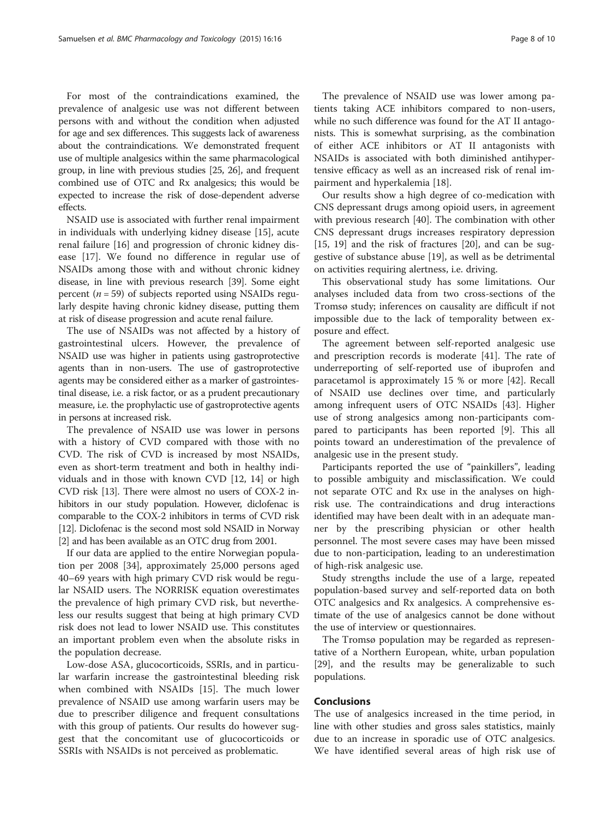For most of the contraindications examined, the prevalence of analgesic use was not different between persons with and without the condition when adjusted for age and sex differences. This suggests lack of awareness about the contraindications. We demonstrated frequent use of multiple analgesics within the same pharmacological group, in line with previous studies [\[25](#page-8-0), [26\]](#page-8-0), and frequent combined use of OTC and Rx analgesics; this would be expected to increase the risk of dose-dependent adverse effects.

NSAID use is associated with further renal impairment in individuals with underlying kidney disease [\[15\]](#page-8-0), acute renal failure [\[16\]](#page-8-0) and progression of chronic kidney disease [[17](#page-8-0)]. We found no difference in regular use of NSAIDs among those with and without chronic kidney disease, in line with previous research [[39](#page-9-0)]. Some eight percent ( $n = 59$ ) of subjects reported using NSAIDs regularly despite having chronic kidney disease, putting them at risk of disease progression and acute renal failure.

The use of NSAIDs was not affected by a history of gastrointestinal ulcers. However, the prevalence of NSAID use was higher in patients using gastroprotective agents than in non-users. The use of gastroprotective agents may be considered either as a marker of gastrointestinal disease, i.e. a risk factor, or as a prudent precautionary measure, i.e. the prophylactic use of gastroprotective agents in persons at increased risk.

The prevalence of NSAID use was lower in persons with a history of CVD compared with those with no CVD. The risk of CVD is increased by most NSAIDs, even as short-term treatment and both in healthy individuals and in those with known CVD [\[12, 14\]](#page-8-0) or high CVD risk [[13\]](#page-8-0). There were almost no users of COX-2 inhibitors in our study population. However, diclofenac is comparable to the COX-2 inhibitors in terms of CVD risk [[12](#page-8-0)]. Diclofenac is the second most sold NSAID in Norway [[2](#page-8-0)] and has been available as an OTC drug from 2001.

If our data are applied to the entire Norwegian population per 2008 [[34](#page-9-0)], approximately 25,000 persons aged 40–69 years with high primary CVD risk would be regular NSAID users. The NORRISK equation overestimates the prevalence of high primary CVD risk, but nevertheless our results suggest that being at high primary CVD risk does not lead to lower NSAID use. This constitutes an important problem even when the absolute risks in the population decrease.

Low-dose ASA, glucocorticoids, SSRIs, and in particular warfarin increase the gastrointestinal bleeding risk when combined with NSAIDs [\[15](#page-8-0)]. The much lower prevalence of NSAID use among warfarin users may be due to prescriber diligence and frequent consultations with this group of patients. Our results do however suggest that the concomitant use of glucocorticoids or SSRIs with NSAIDs is not perceived as problematic.

The prevalence of NSAID use was lower among patients taking ACE inhibitors compared to non-users, while no such difference was found for the AT II antagonists. This is somewhat surprising, as the combination of either ACE inhibitors or AT II antagonists with NSAIDs is associated with both diminished antihypertensive efficacy as well as an increased risk of renal impairment and hyperkalemia [\[18\]](#page-8-0).

Our results show a high degree of co-medication with CNS depressant drugs among opioid users, in agreement with previous research [[40\]](#page-9-0). The combination with other CNS depressant drugs increases respiratory depression [[15, 19\]](#page-8-0) and the risk of fractures [\[20\]](#page-8-0), and can be suggestive of substance abuse [\[19](#page-8-0)], as well as be detrimental on activities requiring alertness, i.e. driving.

This observational study has some limitations. Our analyses included data from two cross-sections of the Tromsø study; inferences on causality are difficult if not impossible due to the lack of temporality between exposure and effect.

The agreement between self-reported analgesic use and prescription records is moderate [\[41\]](#page-9-0). The rate of underreporting of self-reported use of ibuprofen and paracetamol is approximately 15 % or more [\[42](#page-9-0)]. Recall of NSAID use declines over time, and particularly among infrequent users of OTC NSAIDs [\[43](#page-9-0)]. Higher use of strong analgesics among non-participants compared to participants has been reported [\[9](#page-8-0)]. This all points toward an underestimation of the prevalence of analgesic use in the present study.

Participants reported the use of "painkillers", leading to possible ambiguity and misclassification. We could not separate OTC and Rx use in the analyses on highrisk use. The contraindications and drug interactions identified may have been dealt with in an adequate manner by the prescribing physician or other health personnel. The most severe cases may have been missed due to non-participation, leading to an underestimation of high-risk analgesic use.

Study strengths include the use of a large, repeated population-based survey and self-reported data on both OTC analgesics and Rx analgesics. A comprehensive estimate of the use of analgesics cannot be done without the use of interview or questionnaires.

The Tromsø population may be regarded as representative of a Northern European, white, urban population [[29\]](#page-9-0), and the results may be generalizable to such populations.

#### Conclusions

The use of analgesics increased in the time period, in line with other studies and gross sales statistics, mainly due to an increase in sporadic use of OTC analgesics. We have identified several areas of high risk use of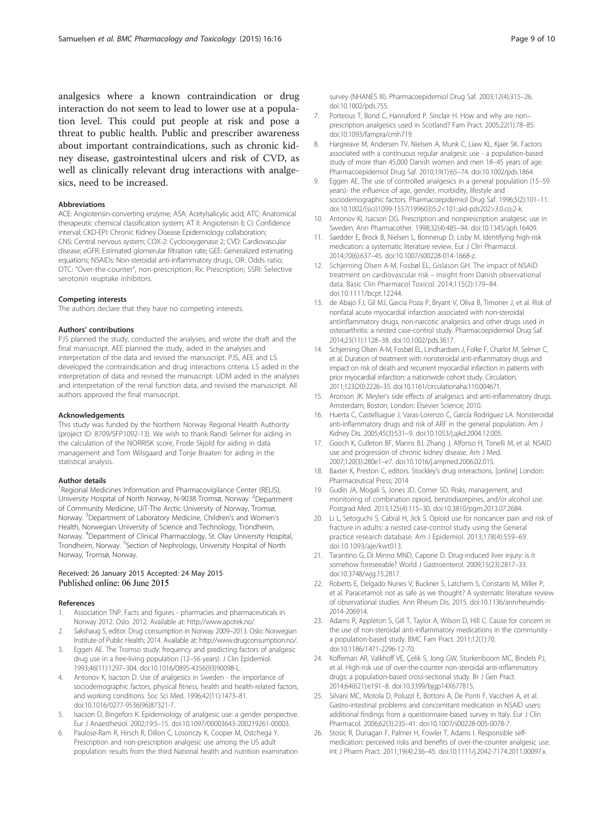<span id="page-8-0"></span>analgesics where a known contraindication or drug interaction do not seem to lead to lower use at a population level. This could put people at risk and pose a threat to public health. Public and prescriber awareness about important contraindications, such as chronic kidney disease, gastrointestinal ulcers and risk of CVD, as well as clinically relevant drug interactions with analgesics, need to be increased.

# Abbreviations

ACE: Angiotensin-converting enzyme; ASA: Acetylsalicylic acid; ATC: Anatomical therapeutic chemical classification system; AT II: Angiotensin II; CI: Confidence interval; CKD-EPI: Chronic Kidney Disease Epidemiology collaboration; CNS: Central nervous system; COX-2: Cyclooxygenase 2; CVD: Cardiovascular disease; eGFR: Estimated glomerular filtration rate; GEE: Generalized estimating equations; NSAIDs: Non-steroidal anti-inflammatory drugs; OR: Odds ratio; OTC: "Over-the-counter", non-prescription; Rx: Prescription; SSRI: Selective serotonin reuptake inhibitors.

### Competing interests

The authors declare that they have no competing interests.

#### Authors' contributions

PJS planned the study, conducted the analyses, and wrote the draft and the final manuscript. AEE planned the study, aided in the analyses and interpretation of the data and revised the manuscript. PJS, AEE and LS developed the contraindication and drug interactions criteria. LS aided in the interpretation of data and revised the manuscript. UDM aided in the analyses and interpretation of the renal function data, and revised the manuscript. All authors approved the final manuscript.

#### Acknowledgements

This study was funded by the Northern Norway Regional Health Authority (project ID: 8709/SFP1092-13). We wish to thank Randi Selmer for aiding in the calculation of the NORRISK score, Frode Skjold for aiding in data management and Tom Wilsgaard and Tonje Braaten for aiding in the statistical analysis.

#### Author details

<sup>1</sup> Regional Medicines Information and Pharmacovigilance Center (RELIS), University Hospital of North Norway, N-9038 Tromsø, Norway. <sup>2</sup>Department of Community Medicine, UiT-The Arctic University of Norway, Tromsø, Norway. <sup>3</sup>Department of Laboratory Medicine, Children's and Women's Health, Norwegian University of Science and Technology, Trondheim, Norway. <sup>4</sup> Department of Clinical Pharmacology, St. Olav University Hospital, Trondheim, Norway. <sup>5</sup>Section of Nephrology, University Hospital of North Norway, Tromsø, Norway.

## Received: 26 January 2015 Accepted: 24 May 2015 Published online: 06 June 2015

#### References

- 1. Association TNP. Facts and figures pharmacies and pharmaceuticals in Norway 2012. Oslo. 2012. Available at: [http://www.apotek.no/.](http://www.apotek.no/)
- 2. Sakshaug S, editor. Drug consumption in Norway 2009–2013. Oslo: Norwegian Institute of Public Health; 2014. Available at:<http://www.drugconsumption.no/>.
- 3. Eggen AE. The Tromso study: frequency and predicting factors of analgesic drug use in a free-living population (12–56 years). J Clin Epidemiol. 1993;46(11):1297–304. doi:10.1016/0895-4356(93)90098-L.
- 4. Antonov K, Isacson D. Use of analgesics in Sweden the importance of sociodemographic factors, physical fitness, health and health-related factors, and working conditions. Soc Sci Med. 1996;42(11):1473–81. doi:10.1016/0277-9536(96)87321-7.
- 5. Isacson D, Bingefors K. Epidemiology of analgesic use: a gender perspective. Eur J Anaesthesiol. 2002;19:5–15. doi:10.1097/00003643-200219261-00003.
- 6. Paulose-Ram R, Hirsch R, Dillon C, Losonczy K, Cooper M, Ostchega Y. Prescription and non-prescription analgesic use among the US adult population: results from the third National health and nutrition examination
- 7. Porteous T, Bond C, Hannaford P, Sinclair H. How and why are non– prescription analgesics used in Scotland? Fam Pract. 2005;22(1):78–85. doi:10.1093/fampra/cmh719.
- 8. Hargreave M, Andersen TV, Nielsen A, Munk C, Liaw KL, Kjaer SK. Factors associated with a continuous regular analgesic use - a population-based study of more than 45,000 Danish women and men 18–45 years of age. Pharmacoepidemiol Drug Saf. 2010;19(1):65–74. doi:10.1002/pds.1864.
- 9. Eggen AE. The use of controlled analgesics in a general population (15–59 years)- the influence of age, gender, morbidity, lifestyle and sociodemographic factors. Pharmacoepidemiol Drug Saf. 1996;5(2):101–11. doi:10.1002/(sici)1099-1557(199603)5:2<101::aid-pds202>3.0.co;2-k.
- 10. Antonov KI, Isacson DG. Prescription and nonprescription analgesic use in Sweden. Ann Pharmacother. 1998;32(4):485–94. doi:10.1345/aph.16409.
- 11. Saedder E, Brock B, Nielsen L, Bonnerup D, Lisby M. Identifying high-risk medication: a systematic literature review. Eur J Clin Pharmacol. 2014;70(6):637–45. doi:10.1007/s00228-014-1668-z.
- 12. Schjerning Olsen A-M, Fosbøl EL, Gislason GH. The impact of NSAID treatment on cardiovascular risk – insight from Danish observational data. Basic Clin Pharmacol Toxicol. 2014;115(2):179–84. doi:10.1111/bcpt.12244.
- 13. de Abajo FJ, Gil MJ, Garcia Poza P, Bryant V, Oliva B, Timoner J, et al. Risk of nonfatal acute myocardial infarction associated with non-steroidal antiinflammatory drugs, non-narcotic analgesics and other drugs used in osteoarthritis: a nested case-control study. Pharmacoepidemiol Drug Saf. 2014;23(11):1128–38. doi:10.1002/pds.3617.
- 14. Schjerning Olsen A-M, Fosbøl EL, Lindhardsen J, Folke F, Charlot M, Selmer C, et al. Duration of treatment with nonsteroidal anti-inflammatory drugs and impact on risk of death and recurrent myocardial infarction in patients with prior myocardial infarction: a nationwide cohort study. Circulation. 2011;123(20):2226–35. doi:10.1161/circulationaha.110.004671.
- 15. Aronson JK. Meyler's side effects of analgesics and anti-inflammatory drugs. Amsterdam; Boston; London: Elsevier Science; 2010.
- 16. Huerta C, Castellsague J, Varas-Lorenzo C, García Rodríguez LA. Nonsteroidal anti-inflammatory drugs and risk of ARF in the general population. Am J Kidney Dis. 2005;45(3):531–9. doi:10.1053/j.ajkd.2004.12.005.
- 17. Gooch K, Culleton BF, Manns BJ, Zhang J, Alfonso H, Tonelli M, et al. NSAID use and progression of chronic kidney disease. Am J Med. 2007;120(3):280e1–e7. doi:10.1016/j.amjmed.2006.02.015.
- 18. Baxter K, Preston C, editors. Stockley's drug interactions. [online] London: Pharmaceutical Press; 2014
- 19. Gudin JA, Mogali S, Jones JD, Comer SD. Risks, management, and monitoring of combination opioid, benzodiazepines, and/or alcohol use. Postgrad Med. 2013;125(4):115–30. doi:10.3810/pgm.2013.07.2684.
- 20. Li L, Setoguchi S, Cabral H, Jick S. Opioid use for noncancer pain and risk of fracture in adults: a nested case-control study using the General practice research database. Am J Epidemiol. 2013;178(4):559–69. doi:10.1093/aje/kwt013.
- 21. Tarantino G, Di Minno MND, Capone D. Drug-induced liver injury: is it somehow foreseeable? World J Gastroenterol. 2009;15(23):2817–33. doi:10.3748/wjg.15.2817.
- 22. Roberts E, Delgado Nunes V, Buckner S, Latchem S, Constanti M, Miller P, et al. Paracetamol: not as safe as we thought? A systematic literature review of observational studies. Ann Rheum Dis. 2015. doi:10.1136/annrheumdis-2014-206914.
- 23. Adams R, Appleton S, Gill T, Taylor A, Wilson D, Hill C. Cause for concern in the use of non-steroidal anti-inflammatory medications in the community a population-based study. BMC Fam Pract. 2011;12(1):70. doi:10.1186/1471-2296-12-70.
- 24. Koffeman AR, Valkhoff VE, Çelik S, Jong GW, Sturkenboom MC, Bindels PJ, et al. High-risk use of over-the-counter non-steroidal anti-inflammatory drugs: a population-based cross-sectional study. Br J Gen Pract. 2014;64(621):e191–8. doi:10.3399/bjgp14X677815.
- 25. Silvani MC, Motola D, Poluzzi E, Bottoni A, De Ponti F, Vaccheri A, et al. Gastro-intestinal problems and concomitant medication in NSAID users: additional findings from a questionnaire-based survey in Italy. Eur J Clin Pharmacol. 2006;62(3):235–41. doi:10.1007/s00228-005-0078-7.
- 26. Stosic R, Dunagan F, Palmer H, Fowler T, Adams I. Responsible selfmedication: perceived risks and benefits of over-the-counter analgesic use. Int J Pharm Pract. 2011;19(4):236–45. doi:10.1111/j.2042-7174.2011.00097.x.